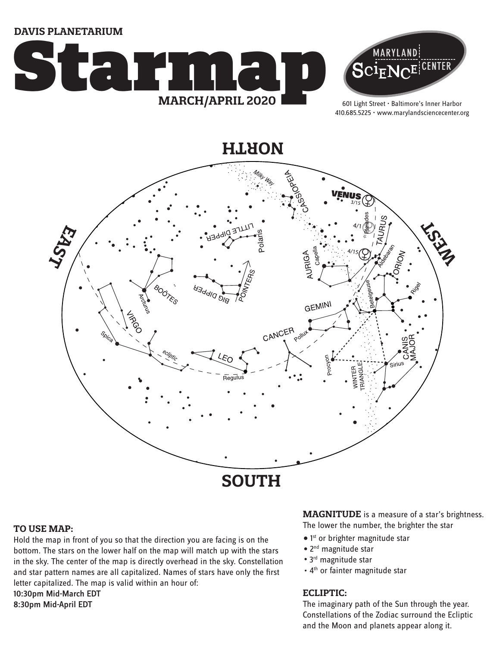**DAVIS PLANETARIUM**





601 Light Street • Baltimore's Inner Harbor 410.685.5225 • www.marylandsciencecenter.org

**NORTH**



### **TO USE MAP:**

Hold the map in front of you so that the direction you are facing is on the bottom. The stars on the lower half on the map will match up with the stars in the sky. The center of the map is directly overhead in the sky. Constellation and star pattern names are all capitalized. Names of stars have only the first letter capitalized. The map is valid within an hour of: 10:30pm Mid-March EDT 8:30pm Mid-April EDT

**MAGNITUDE** is a measure of a star's brightness. The lower the number, the brighter the star

- $\bullet$  1st or brighter magnitude star
- 2<sup>nd</sup> magnitude star
- 3<sup>rd</sup> magnitude star
- 4<sup>th</sup> or fainter magnitude star

### **ECLIPTIC:**

The imaginary path of the Sun through the year. Constellations of the Zodiac surround the Ecliptic and the Moon and planets appear along it.